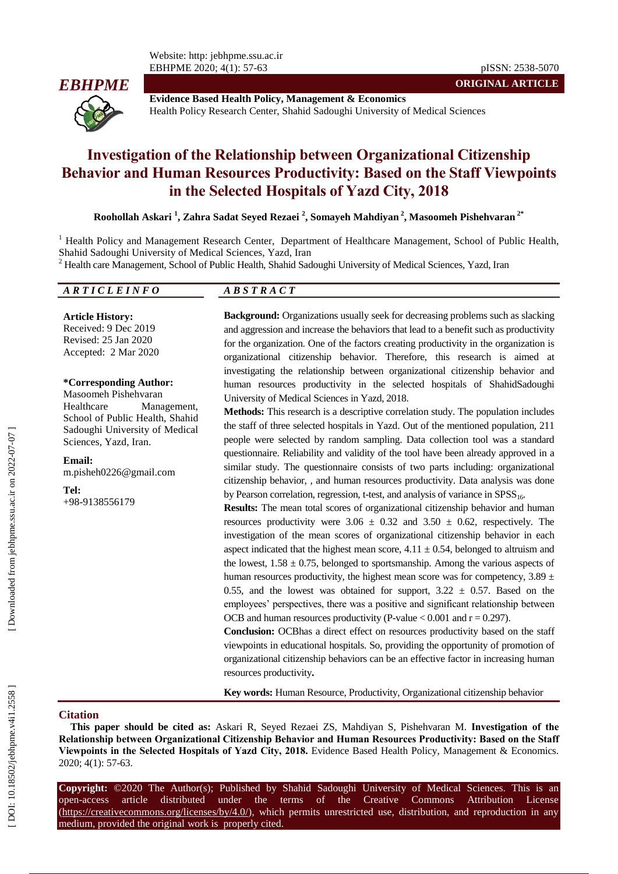

**Evidence Based Health Policy, Management & Economics** Health Policy Research Center, Shahid Sadoughi University of Medical Sciences

# **Investigation of the Relationship between Organizational Citizenship Behavior and Human Resources Productivity: Based on the Staff Viewpoints in the Selected Hospitals of Yazd City , 2018**

**Roohollah Askari 1 , Zahra Sadat Seyed Rezaei 2 , Somayeh Mahdiyan 2 , Masoomeh Pishehvaran 2 \***

<sup>1</sup> Health Policy and Management Research Center, Department of Healthcare Management, School of Public Health, Shahid Sado ughi University of Medical Sciences, Yazd, Iran

 $2$  Health care Management, School of Public Health, Shahid Sadoughi University of Medical Sciences, Yazd, Iran

#### *A R T I C L E I N F O A B S T R A C T*

**Article History:** Received: 9 Dec 2019 Revised: 25 Jan 2020 Accepted: 2 Mar 2020

#### **\*Corresponding Author:**

Masoomeh Pishehvaran Healthcare Management, School of Public Health, Shahid Sado ughi University of Medical Sciences, Yazd, Iran .

**Email:** m.pisheh0226@gmail.com

**Tel:** +98 -9138556179

**Background:** Organizations usually seek for decreasing problems such as slacking and aggression and increase the behaviors that lead to a benefit such as productivity for the organization. One of the factors creating productivity in the organization is organizational citizenship behavior. Therefore, this research is aimed at investigating the relationship between organizational citizenship behavior and human resource s productivity in the selected hospitals of ShahidSado ughi University of Medical Sciences in Yazd, 2018.

**Methods:** This research is a descriptive correlation study. The population includes the staff of three selected hospitals in Yazd. Out of the mentioned population, 211 people were selected by random sampling. Data collection tool was a standard questionnaire. Reliability and validity of the tool have been already approved in a similar study. The questionnaire consists of two parts including: organizational citizenship behavior, , and human resources productivity. Data analysis was done by Pearson correlation, regression, t-test, and analysis of variance in SPSS<sub>16</sub>.

**Results:** The mean total scores of organizational citizenship behavior and human resources productivity were  $3.06 \pm 0.32$  and  $3.50 \pm 0.62$ , respectively. The investigation of the mean scores of organizational citizenship behavior in each aspect indicated that the highest mean score,  $4.11 \pm 0.54$ , belonged to altruism and the lowest,  $1.58 \pm 0.75$ , belonged to sportsmanship. Among the various aspects of human resources productivity, the highest mean score was for competency,  $3.89 \pm$ 0.55, and the lowest was obtained for support,  $3.22 \pm 0.57$ . Based on the employees' perspectives, there was a positive and significant relationship between OCB and human resources productivity (P-value  $< 0.001$  and  $r = 0.297$ ).

**Conclusion:** OCBhas a direct effect on resources productivity based on the staff viewpoints in educational hospitals. So, providing the opportunity of promotion of organizational citizenship behaviors can be an effective factor in increasing human resources productivity **.**

**Key words:** Human Resource , Productivity, Organizational citizenship behavior

### **Ci tation**

**This paper should be cited as:** Askari R, Seyed Rezaei ZS, Mahdiyan S, Pishehvaran M. **Investigation of the Relationship between Organizational Citizenship Behavior and Human Resources Productivity: Based on the Staff Viewpoints in the Selected Hospitals of Yazd City, 2018 .** Evidence Based Health Policy, Management & Economics. 2020; 4(1): 57 -63.

**Copyright:** ©2020 The Author(s); Published by Shahid Sadoughi University of Medical Sciences. This is an open-access -access article distributed under the terms of the Creative Commons Attribution License (https://creativecommons.org/licenses/by/4.0/), which permits unrestricted use, distribution, and reproduction in any medium, provided the original work is properly cited.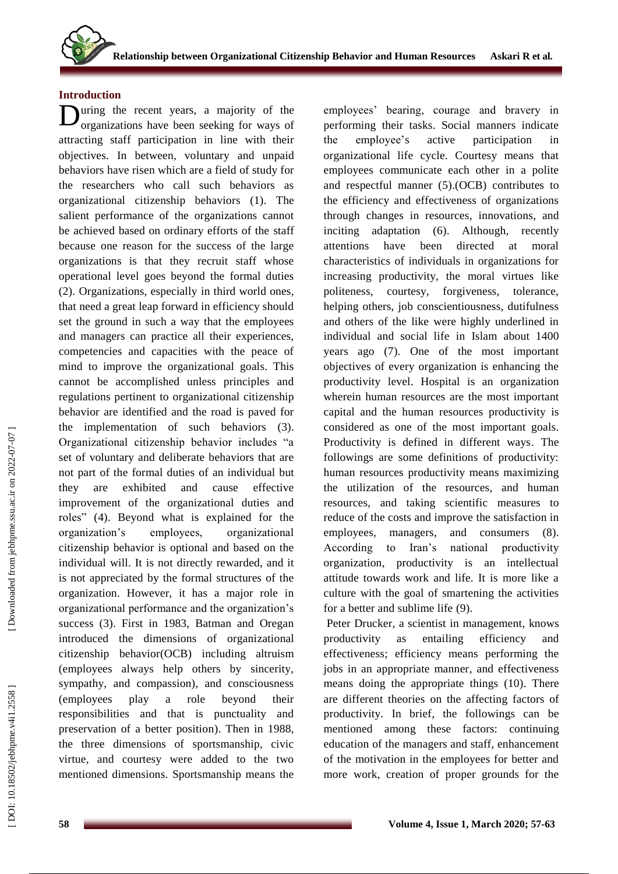## **Introduction**

**D**uring the recent years, a majority of the organizations have been seeking for ways of organizations have been seeking for ways of attracting staff participation in line with their objectives. In between, voluntary and unpaid behaviors have risen which are a field of study for the researchers who call such behaviors as organizational citizenship behaviors (1). The salient performance of the organizations cannot be achieved based on ordinary efforts of the staff because one reason for the success of the large organizations is that they recruit staff whose operational level goes beyond the formal duties (2). Organizations, especially in third world ones, that need a great leap forward in efficiency should set the ground in such a way that the employees and managers can practice all their experiences, competencies and capacities with the peace of mind to improve the organizational goals. This cannot be accomplished unless principles and regulations pertinent to organizational citizenship behavior are identified and the road is paved for the implementation of such behaviors ( 3 ) . Organizational citizenship behavior includes "a set of voluntary and deliberate behaviors that are not part of the formal duties of an individual but they are exhibited and cause effective improvement of the organizational duties and roles" (4) . Beyond what is explained for the organization's employees, organizational citizenship behavior is optional and based on the individual will. It is not directly rewarded, and it is not appreciated by the formal structures of the organization. However, it has a major role in organizational performance and the organization's success (3). First in 1983, Batman and Oregan introduced the dimensions of organizational citizenship behavior (OCB ) including altruism (employees always help others by sincerity, sympathy, and compassion), and consciousness (employees play a role beyond their responsibilities and that is punctuality and preservation of a better position). Then in 1988, the three dimensions of sportsmanship, civic virtue, and courtesy were added to the two mentioned dimensions. Sportsmanship means the

employees' bearing, courage and bravery in performing their tasks. Social manners indicate the employee's active participation in organizational life cycle. Courtesy means that employees communicate each other in a polite and respectful manner (5 ) .(OCB) contributes to the efficiency and effectiveness of organizations through changes in resources, innovations , and inciting adaptation (6). Although, recently attentions have been directed at moral characteristics of individuals in organizations for increasing productivity, the moral virtues like politeness, courtesy, forgiveness, tolerance, helping others, job conscientiousness, dutifulness and others of the like were highly underlined in individual and social life in Islam about 1400 years ago (7). One of the most important objectives of every organization is enhancing the productivity level. Hospital is an organization wherein human resources are the most important capital and the human resources productivity is considered as one of the most important goals. Productivity is defined in different ways. The followings are some definitions of productivity: human resources productivity means maximizing the utilization of the resources, and human resources , and taking scientific measures to reduce of the costs and improve the satisfaction in employees, managers , and consumers (8). According to Iran's national productivity organization, productivity is an intellectual attitude towards work and life. It is more like a culture with the goal of smartening the activities for a better and sublime life (9) .

Peter Drucker, a scientist in management, knows productivity as entailing efficiency and effectiveness; efficiency means performing the jobs in an appropriate manner , and effectiveness means doing the appropriate things (10). There are different theories on the affecting factors of productivity. In brief, the followings can be mentioned among these factors: continuing education of the managers and staff, enhancement of the motivation in the employees for better and more work, creation of proper grounds for the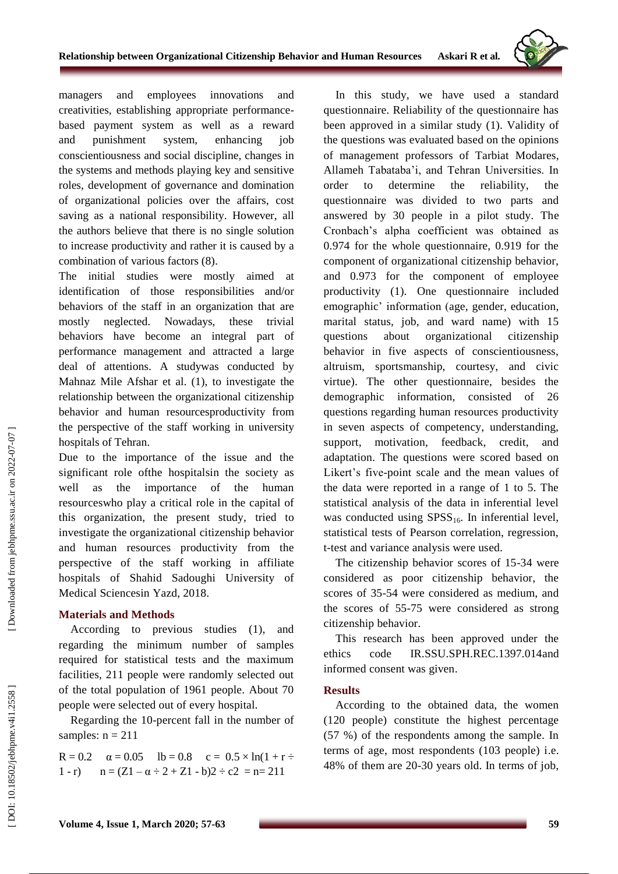

managers and employees innovations and creativities, establishing appropriate performance based payment system as well as a reward and punishment system, enhancing job conscientiousness and social discipline, changes in the systems and methods playing key and sensitive roles, development of governance and domination of organizational policies over the affairs, cost saving as a national responsibility. However, all the authors believe that there is no single solution to increase productivity and rather it is caused by a combination of various factors (8).

The initial studies were mostly aimed at identification of those responsibilities and/or behaviors of the staff in an organization that are mostly neglected. Nowadays, these trivial behaviors have become an integral part of performance management and attracted a large deal of attentions. A studywas conducted by Mahnaz Mile Afshar et al. ( 1), to investigate the relationship between the organizational citizenship behavior and human resourcesproductivity from the perspective of the staff working in university hospitals of Tehran .

Due to the importance of the issue and the significant role ofthe hospitalsin the society as well as the importance of the human resourceswho play a critical role in the capital of this organization, the present study, tried to investigate the organizational citizenship behavior and human resources productivity from the perspective of the staff working in affiliate hospitals of Shahid Sadoughi University of Medical Sciencesin Yazd, 201 8 .

## **Materials and Method s**

According to previous studies (1), and regarding the minimum number of samples required for statistical tests and the maximum facilities, 211 people were randomly selected out of the total population of 1961 people. About 70 people were selected out of every hospital.

Regarding the 10 -percent fall in the number of samples:  $n = 211$ 

R = 0.2  $\alpha = 0.05$  lb = 0.8  $c = 0.5 \times \ln(1 + r \div$  $1 - r$ ) n  $=(Z1 - \alpha \div 2 + Z1 - b)2 \div c2 = n = 211$ 

In this study, we have used a standard questionnaire. Reliability of the questionnaire has been approved in a similar stud y (1). Validity of the questions was evaluated based on the opinions of management professors of Tarbiat Modares, Allameh Tabataba'i, and Tehran Universities. In order to determine the reliability, the questionnaire was divided to two parts and answered by 30 people in a pilot study. The Cronbach's alpha coefficient was obtained as 0.974 for the whole questionnaire, 0.919 for the component of organizational citizenship behavior, and 0.973 for the component of employee productivity (1). One questionnaire included emographic' information (age, gender, education, marital status, job, and ward name) with 15 questions about organizational citizenship behavior in five aspects of conscientiousness, altruism, sportsmanship, courtesy, and civic virtue). The other questionnaire, besides the demographic information, consisted of 26 questions regarding human resources productivity in seven aspects of competency, understanding, support, motivation, feedback, credit, and adaptation. The questions were scored based on Likert's five -point scale and the mean values of the data were reported in a range of 1 to 5. The statistical analysis of the data in inferential level was conducted using  $SPSS_{16}$ . In inferential level, statistical tests of Pearson correlation, regression, t-test and variance analysis were used.

The citizenship behavior scores of 15 -34 were considered as poor citizenship behavior, the scores of 35 -54 were considered as medium, and the scores of 55 -75 were considered as strong citizenship behavior.

This research has been approved under the ethics code IR.SSU.SPH.REC.1397.014and informed consent was given.

## **Results**

According to the obtained data, the women (120 people) constitute the highest percentage (57 %) of the respondents among the sample. In terms of age, most respondents (103 people) i.e. 48% of them are 20 -30 years old. In terms of job,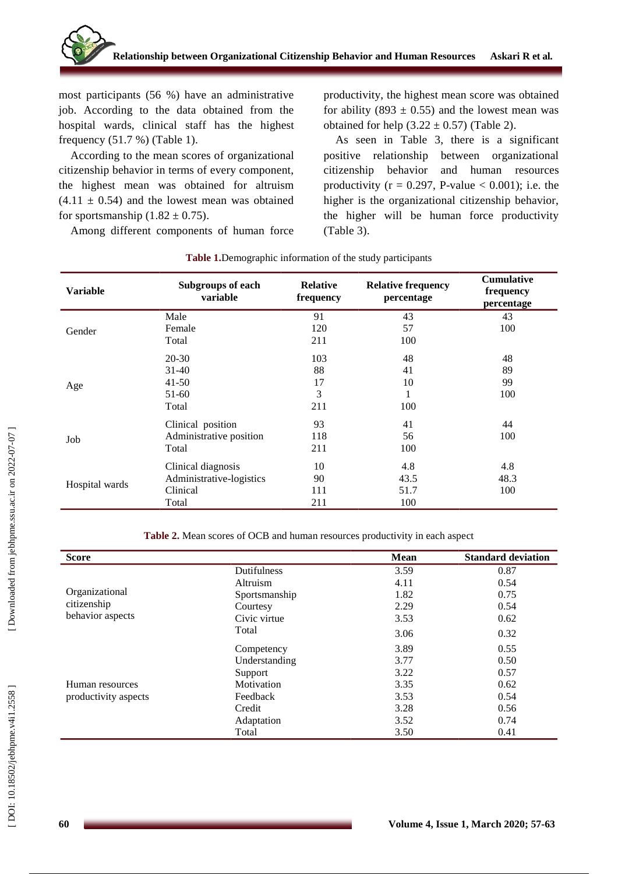

most participants (56 %) have an administrative job. According to the data obtained from the hospital wards, clinical staff has the highest frequency (51.7 %) (Table 1).

According to the mean scores of organizational citizenship behavior in terms of every component, the highest mean was obtained for altruism  $(4.11 \pm 0.54)$  and the lowest mean was obtained for sportsmanship  $(1.82 \pm 0.75)$ .

Among different components of human force

productivity, the highest mean score was obtained for ability (893  $\pm$  0.55) and the lowest mean was obtained for help  $(3.22 \pm 0.57)$  (Table 2).

As seen in Table 3, there is a significant positive relationship between organizational citizenship behavior and human resource s productivity ( $r = 0.297$ , P-value  $< 0.001$ ); i.e. the higher is the organizational citizenship behavior, the higher will be human force productivity (Table 3).

| <b>Variable</b> | <b>Subgroups of each</b><br>variable | <b>Relative</b><br>frequency | <b>Relative frequency</b><br>percentage | <b>Cumulative</b><br>frequency<br>percentage |
|-----------------|--------------------------------------|------------------------------|-----------------------------------------|----------------------------------------------|
| Gender          | Male                                 | 91                           | 43                                      | 43                                           |
|                 | Female                               | 120                          | 57                                      | 100                                          |
|                 | Total                                | 211                          | 100                                     |                                              |
| Age             | $20 - 30$                            | 103                          | 48                                      | 48                                           |
|                 | $31 - 40$                            | 88                           | 41                                      | 89                                           |
|                 | $41 - 50$                            | 17                           | 10                                      | 99                                           |
|                 | $51-60$                              | 3                            | 1                                       | 100                                          |
|                 | Total                                | 211                          | 100                                     |                                              |
| Job             | Clinical position                    | 93                           | 41                                      | 44                                           |
|                 | Administrative position              | 118                          | 56                                      | 100                                          |
|                 | Total                                | 211                          | 100                                     |                                              |
| Hospital wards  | Clinical diagnosis                   | 10                           | 4.8                                     | 4.8                                          |
|                 | Administrative-logistics             | 90                           | 43.5                                    | 48.3                                         |
|                 | Clinical                             | 111                          | 51.7                                    | 100                                          |
|                 | Total                                | 211                          | 100                                     |                                              |

#### **Table 1 .**Demographic information of the study participants

**Table 2 .** Mean scores of OCB and human resources productivity in each aspect

| <b>Score</b>         |               | Mean | <b>Standard deviation</b> |
|----------------------|---------------|------|---------------------------|
|                      | Dutifulness   | 3.59 | 0.87                      |
|                      | Altruism      | 4.11 | 0.54                      |
| Organizational       | Sportsmanship | 1.82 | 0.75                      |
| citizenship          | Courtesy      | 2.29 | 0.54                      |
| behavior aspects     | Civic virtue  | 3.53 | 0.62                      |
|                      | Total         | 3.06 | 0.32                      |
|                      | Competency    | 3.89 | 0.55                      |
|                      | Understanding | 3.77 | 0.50                      |
|                      | Support       | 3.22 | 0.57                      |
| Human resources      | Motivation    | 3.35 | 0.62                      |
| productivity aspects | Feedback      | 3.53 | 0.54                      |
|                      | Credit        | 3.28 | 0.56                      |
|                      | Adaptation    | 3.52 | 0.74                      |
|                      | Total         | 3.50 | 0.41                      |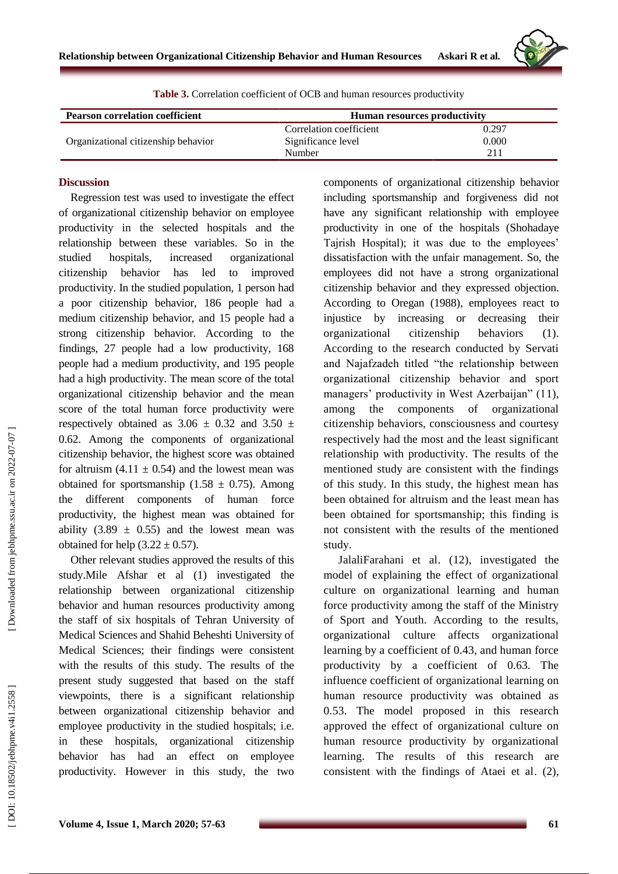

| <b>Pearson correlation coefficient</b> | <b>Human resources productivity</b> |       |  |
|----------------------------------------|-------------------------------------|-------|--|
|                                        | Correlation coefficient             | 0.297 |  |
| Organizational citizenship behavior    | Significance level                  | 0.000 |  |
|                                        | Number                              | 211   |  |

#### **Table 3 .** Correlation coefficient of OCB and human resources productivity

### **Discussion**

Regression test was used to investigate the effect of organizational citizenship behavior on employee productivity in the selected hospitals and the relationship between these variables. So in the studied hospitals, increased organizational citizenship behavior has led to improved productivity. In the studied population, 1 person had a poor citizenship behavior, 186 people had a medium citizenship behavior, and 15 people had a strong citizenship behavior. According to the findings, 27 people had a low productivity, 168 people had a medium productivity, and 195 people had a high productivity. The mean score of the total organizational citizenship behavior and the mean score of the total human force productivity were respectively obtained as  $3.06 \pm 0.32$  and  $3.50 \pm 1.5$ 0.62. Among the components of organizational citizenship behavior, the highest score was obtained for altruism  $(4.11 \pm 0.54)$  and the lowest mean was obtained for sportsmanship  $(1.58 \pm 0.75)$ . Among the different components of human force productivity, the highest mean was obtained for ability  $(3.89 \pm 0.55)$  and the lowest mean was obtained for help  $(3.22 \pm 0.57)$ .

Other relevant studies approved the results of this study.Mile Afshar et al ( 1) investigated the relationship between organizational citizenship behavior and human resources productivity among the staff of six hospitals of Tehran University of Medical Sciences and Shahid Beheshti University of Medical Sciences; their findings were consistent with the results of this study. The results of the present study suggested that based on the staff viewpoints, there is a significant relationship between organizational citizenship behavior and employee productivity in the studied hospitals; i.e. in these hospitals, organizational citizenship behavior has had an effect on employee productivity. However in this study, the two

components of organizational citizenship behavior including sportsmanship and forgiveness did not have any significant relationship with employee productivity in one of the hospitals (Shohadaye Tajrish Hospital); it was due to the employees' dissatisfaction with the unfair management. So, the employees did not have a strong organizational citizenship behavior and they expressed objection. According to Oregan (1988), employees react to injustice by increasing or decreasing their organizational citizenship behaviors (1). According to the research conducted by Servati and Najafzadeh titled "the relationship between organizational citizenship behavior and sport managers' productivity in West Azerbaijan" (1 1), among the components of organizational citizenship behaviors, consciousness and courtesy respectively had the most and the least significant relationship with productivity. The results of the mentioned study are consistent with the findings of this study. In this study, the highest mean has been obtained for altruism and the least mean has been obtained for sportsmanship; this finding is not consistent with the results of the mentioned study.

JalaliFarahani et al. (12) , investigated the model of explaining the effect of organizational culture on organizational learning and human force productivity among the staff of the Ministry of Sport and Youth. According to the results, organizational culture affects organizational learning by a coefficient of 0.43, and human force productivity by a coefficient of 0.63. The influence coefficient of organizational learning on human resource productivity was obtained as 0.53. The model proposed in this research approved the effect of organizational culture on human resource productivity by organizational learning . The results of this research are consistent with the findings of Ataei et al . ( 2),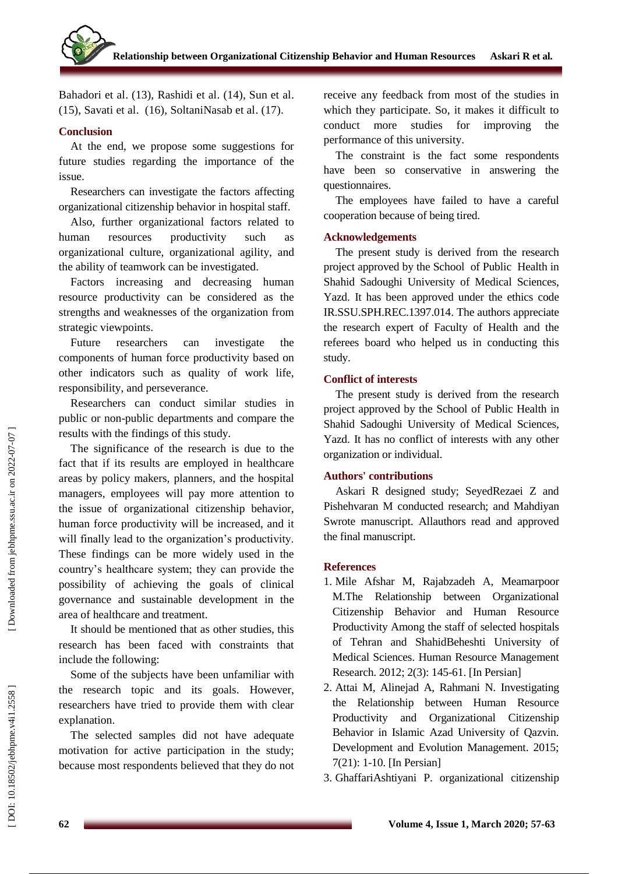Bahadori et al . (13), Rashidi et al . (14), Sun et al . (1 5), Savati et al . (1 6), SoltaniNasab et al . (17).

## **Conclusion**

At the end, we propose some suggestions for future studies regarding the importance of the issue.

Researchers can investigate the factors affecting organizational citizenship behavior in hospital staff.

Also, further organizational factors related to human resource productivity such as organizational culture, organizational agility, and the ability of teamwork can be investigated.

Factors increasing and decreasing human resource productivity can be considered as the strengths and weaknesses of the organization from strategic viewpoints.

Future researchers can investigate the components of human force productivity based on other indicators such as quality of work life, responsibility, and perseverance.

Researchers can conduct similar studies in public or non -public departments and compare the results with the findings of this study.

The significance of the research is due to the fact that if its results are employed in healthcare areas by policy makers, planners, and the hospital managers, employees will pay more attention to the issue of organizational citizenship behavior, human force productivity will be increased, and it will finally lead to the organization's productivity. These findings can be more widely used in the country's healthcare system; they can provide the possibility of achieving the goals of clinical governance and sustainable development in the area of healthcare and treatment.

It should be mentioned that as other studies, this research has been faced with constraints that include the following:

Some of the subjects have been unfamiliar with the research topic and its goals. However, researchers have tried to provide them with clear explanation.

The selected samples did not have adequate motivation for active participation in the study; because most respondents believed that they do not receive any feedback from most of the studies in which they participate. So, it makes it difficult to conduct more studies for improving the performance of this university.

The constraint is the fact some respondents have been so conservative in answering the questionnaires.

The employees have failed to have a careful cooperation because of being tired.

## **Acknowledgement s**

The present study is derived from the research project approved by the School of Public Health in Shahid Sado ughi University of Medical Sciences, Yazd. It has been approved under the ethics code IR.SSU.SPH.REC.1397.014. The authors appreciate the research expert of Faculty of Health and the referees board who helped us in conducting this study.

## **Conflict of interests**

The present study is derived from the research project approved by the School of Public Health in Shahid Sado ughi University of Medical Sciences, Yazd. It has no conflict of interests with any other organization or individual.

## **Authors' contributions**

Askari R designed study; SeyedRezaei Z and Pishehvaran M conducted research; and Mahdi yan Swrote manuscript. Allauthors read and approved the final manuscript.

## **References**

- 1. Mile Afshar M, Rajabzadeh A, Meamarpoor M.The Relationship between Organizational Citizenship Behavior and Human Resource Productivity Among the staff of selected hospitals of Tehran and ShahidBeheshti University of Medical Sciences. Human Resource Management Research. 2012; 2(3): 145 -61. [In Persian]
- 2 . Attai M, Alinejad A, Rahmani N. Investigating the Relationship between Human Resource Productivity and Organizational Citizenship Behavior in Islamic Azad University of Qazvin. Development and Evolution Management. 2015; 7(21): 1 -10. [In Persian]
- 3 . GhaffariAshtiyani P. organizational citizenship